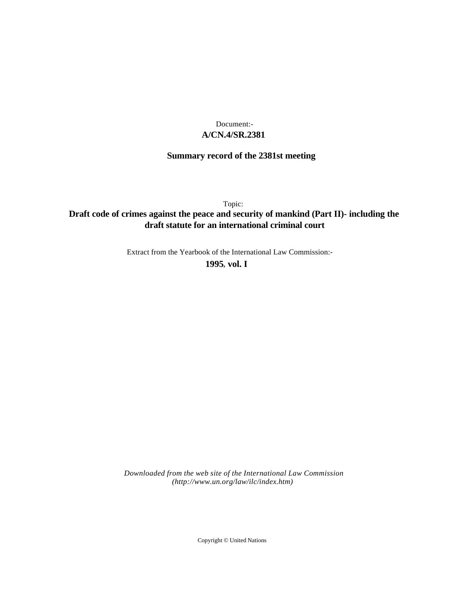## **A/CN.4/SR.2381** Document:-

# **Summary record of the 2381st meeting**

Topic:

## **Draft code of crimes against the peace and security of mankind (Part II)- including the draft statute for an international criminal court**

Extract from the Yearbook of the International Law Commission:-

**1995** , **vol. I**

*Downloaded from the web site of the International Law Commission (http://www.un.org/law/ilc/index.htm)*

Copyright © United Nations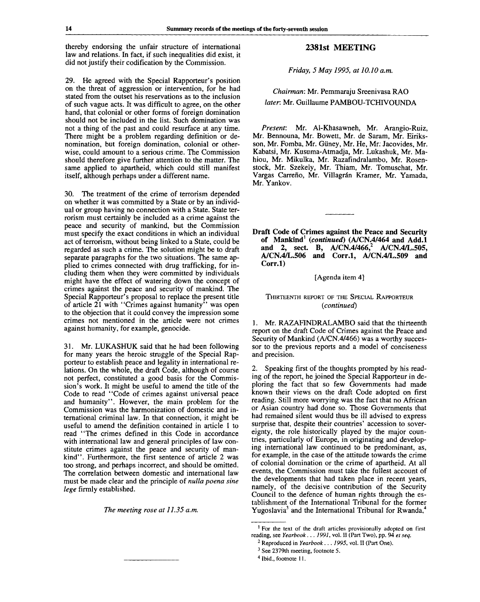thereby endorsing the unfair structure of international law and relations. In fact, if such inequalities did exist, it did not justify their codification by the Commission.

29. He agreed with the Special Rapporteur's position on the threat of aggression or intervention, for he had stated from the outset his reservations as to the inclusion of such vague acts. It was difficult to agree, on the other hand, that colonial or other forms of foreign domination should not be included in the list. Such domination was not a thing of the past and could resurface at any time. There might be a problem regarding definition or denomination, but foreign domination, colonial or otherwise, could amount to a serious crime. The Commission should therefore give further attention to the matter. The same applied to apartheid, which could still manifest itself, although perhaps under a different name.

30. The treatment of the crime of terrorism depended on whether it was committed by a State or by an individual or group having no connection with a State. State terrorism must certainly be included as a crime against the peace and security of mankind, but the Commission must specify the exact conditions in which an individual act of terrorism, without being linked to a State, could be regarded as such a crime. The solution might be to draft separate paragraphs for the two situations. The same applied to crimes connected with drug trafficking, for including them when they were committed by individuals might have the effect of watering down the concept of crimes against the peace and security of mankind. The Special Rapporteur's proposal to replace the present title of article 21 with "Crimes against humanity" was open to the objection that it could convey the impression some crimes not mentioned in the article were not crimes against humanity, for example, genocide.

31. Mr. LUKASHUK said that he had been following for many years the heroic struggle of the Special Rapporteur to establish peace and legality in international relations. On the whole, the draft Code, although of course not perfect, constituted a good basis for the Commission's work. It might be useful to amend the title of the Code to read "Code of crimes against universal peace and humanity". However, the main problem for the Commission was the harmonization of domestic and international criminal law. In that connection, it might be useful to amend the definition contained in article 1 to read "The crimes defined in this Code in accordance with international law and general principles of law constitute crimes against the peace and security of mankind". Furthermore, the first sentence of article 2 was too strong, and perhaps incorrect, and should be omitted. The correlation between domestic and international law must be made clear and the principle of *nulla poena sine lege* firmly established.

*The meeting rose at 11.35 a.m.*

### **2381st MEETING**

*Friday, 5 May 1995, at 10.10 a.m.*

*Chairman:* Mr. Pemmaraju Sreenivasa RAO *later.* Mr. Guillaume PAMBOU-TCHIVOUNDA

*Present:* Mr. Al-Khasawneh, Mr. Arangio-Ruiz, Mr. Bennouna, Mr. Bowett, Mr. de Saram, Mr. Eiriksson, Mr. Fomba, Mr. Giiney, Mr. He, Mr. Jacovides, Mr. Kabatsi, Mr. Kusuma-Atmadja, Mr. Lukashuk, Mr. Mahiou, Mr. Mikulka, Mr. Razafindralambo, Mr. Rosenstock, Mr. Szekely, Mr. Thiam, Mr. Tomuschat, Mr. Vargas Carreño, Mr. Villagrán Kramer, Mr. Yamada, Mr. Yankov.

**Draft Code of Crimes against the Peace and Security of Mankind<sup>1</sup>**  *(continued)* **(A/CN.4/464 and Add.l and 2, sect. B, A/CN.4/466,<sup>2</sup> A/CN.4/L.505, A/CN.4/L.506 and Corr.l, A/CN.4/L.509 and Corr.l)**

[Agenda item 4]

### THIRTEENTH REPORT OF THE SPECIAL RAPPORTEUR *{continued)*

1. Mr. RAZAFINDRALAMBO said that the thirteenth report on the draft Code of Crimes against the Peace and Security of Mankind (A/CN.4/466) was a worthy successor to the previous reports and a model of conciseness and precision.

2. Speaking first of the thoughts prompted by his reading of the report, he joined the Special Rapporteur in deploring the fact that so few Governments had made known their views on the draft Code adopted on first reading. Still more worrying was the fact that no African or Asian country had done so. Those Governments that had remained silent would thus be ill advised to express surprise that, despite their countries' accession to sovereignty, the role historically played by the major countries, particularly of Europe, in originating and developing international law continued to be predominant, as, for example, in the case of the attitude towards the crime of colonial domination or the crime of apartheid. At all events, the Commission must take the fullest account of the developments that had taken place in recent years, namely, of the decisive contribution of the Security Council to the defence of human rights through the establishment of the International Tribunal for the former Euchannich of the International Tribunal for Rwanda, $4$ <br>Yugoslavia<sup>3</sup> and the International Tribunal for Rwanda, $4$ 

<sup>&</sup>lt;sup>1</sup> For the text of the draft articles provisionally adopted on first reading, see *Yearbook... 1991,* vol. II (Part Two), pp. 94 *et seq.*

<sup>2</sup> Reproduced in *Yearbook . . . 1995,* vol. II (Part One).

<sup>&</sup>lt;sup>3</sup> See 2379th meeting, footnote 5.

<sup>4</sup> Ibid., footnote 11.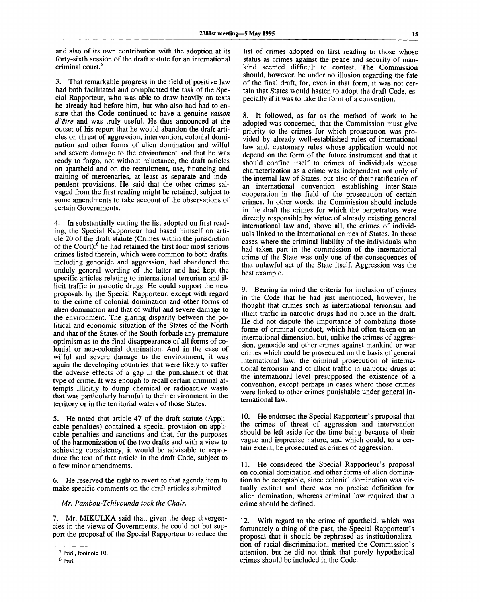and also of its own contribution with the adoption at its forty-sixth session of the draft statute for an international criminal court.<sup>5</sup>

3. That remarkable progress in the field of positive law had both facilitated and complicated the task of the Special Rapporteur, who was able to draw heavily on texts he already had before him, but who also had had to ensure that the Code continued to have a genuine *raison d'etre* and was truly useful. He thus announced at the outset of his report that he would abandon the draft articles on threat of aggression, intervention, colonial domination and other forms of alien domination and wilful and severe damage to the environment and that he was ready to forgo, not without reluctance, the draft articles on apartheid and on the recruitment, use, financing and training of mercenaries, at least as separate and independent provisions. He said that the other crimes salvaged from the first reading might be retained, subject to some amendments to take account of the observations of certain Governments.

4. In substantially cutting the list adopted on first reading, the Special Rapporteur had based himself on article 20 of the draft statute (Crimes within the jurisdiction of the Court):<sup>6</sup> he had retained the first four most serious crimes listed therein, which were common to both drafts, including genocide and aggression, had abandoned the unduly general wording of the latter and had kept the specific articles relating to international terrorism and illicit traffic in narcotic drugs. He could support the new proposals by the Special Rapporteur, except with regard to the crime of colonial domination and other forms of alien domination and that of wilful and severe damage to the environment. The glaring disparity between the political and economic situation of the States of the North and that of the States of the South forbade any premature optimism as to the final disappearance of all forms of colonial or neo-colonial domination. And in the case of wilful and severe damage to the environment, it was again the developing countries that were likely to suffer the adverse effects of a gap in the punishment of that type of crime. It was enough to recall certain criminal attempts illicitly to dump chemical or radioactive waste that was particularly harmful to their environment in the territory or in the territorial waters of those States.

5. He noted that article 47 of the draft statute (Applicable penalties) contained a special provision on applicable penalties and sanctions and that, for the purposes of the harmonization of the two drafts and with a view to achieving consistency, it would be advisable to reproduce the text of that article in the draft Code, subject to a few minor amendments.

6. He reserved the right to revert to that agenda item to make specific comments on the draft articles submitted.

*Mr. Pambou-Tchivounda took the Chair.*

7. Mr. MIKULKA said that, given the deep divergencies in the views of Governments, he could not but support the proposal of the Special Rapporteur to reduce the

list of crimes adopted on first reading to those whose status as crimes against the peace and security of mankind seemed difficult to contest. The Commission should, however, be under no illusion regarding the fate of the final draft, for, even in that form, it was not certain that States would hasten to adopt the draft Code, especially if it was to take the form of a convention.

8. It followed, as far as the method of work to be adopted was concerned, that the Commission must give priority to the crimes for which prosecution was provided by already well-established rules of international law and, customary rules whose application would not depend on the form of the future instrument and that it should confine itself to crimes of individuals whose characterization as a crime was independent not only of the internal law of States, but also of their ratification of an international convention establishing inter-State cooperation in the field of the prosecution of certain crimes. In other words, the Commission should include in the draft the crimes for which the perpetrators were directly responsible by virtue of already existing general international law and, above all, the crimes of individuals linked to the international crimes of States. In those cases where the criminal liability of the individuals who had taken part in the commission of the international crime of the State was only one of the consequences of that unlawful act of the State itself. Aggression was the best example.

9. Bearing in mind the criteria for inclusion of crimes in the Code that he had just mentioned, however, he thought that crimes such as international terrorism and illicit traffic in narcotic drugs had no place in the draft. He did not dispute the importance of combating those forms of criminal conduct, which had often taken on an international dimension, but, unlike the crimes of aggression, genocide and other crimes against mankind or war crimes which could be prosecuted on the basis of general international law, the criminal prosecution of international terrorism and of illicit traffic in narcotic drugs at the international level presupposed the existence of a convention, except perhaps in cases where those crimes were linked to other crimes punishable under general international law.

10. He endorsed the Special Rapporteur's proposal that the crimes of threat of aggression and intervention should be left aside for the time being because of their vague and imprecise nature, and which could, to a certain extent, be prosecuted as crimes of aggression.

11. He considered the Special Rapporteur's proposal on colonial domination and other forms of alien domination to be acceptable, since colonial domination was virtually extinct and there was no precise definition for alien domination, whereas criminal law required that a crime should be defined.

12. With regard to the crime of apartheid, which was fortunately a thing of the past, the Special Rapporteur's proposal that it should be rephrased as institutionalization of racial discrimination, merited the Commission's attention, but he did not think that purely hypothetical crimes should be included in the Code.

<sup>5</sup> Ibid., footnote 10.

<sup>6</sup> Ibid.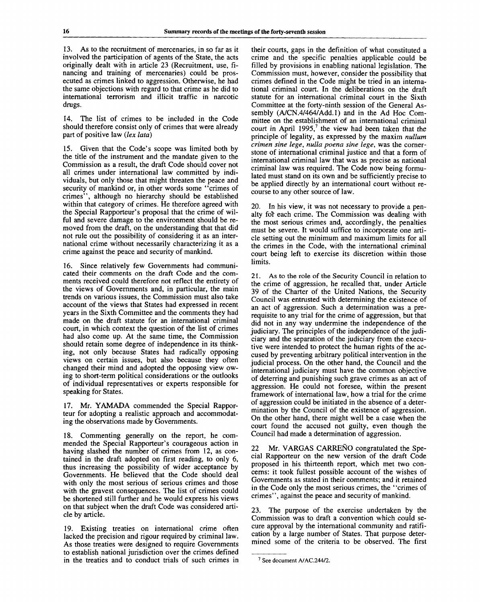13. As to the recruitment of mercenaries, in so far as it involved the participation of agents of the State, the acts originally dealt with in article 23 (Recruitment, use, financing and training of mercenaries) could be prosecuted as crimes linked to aggression. Otherwise, he had the same objections with regard to that crime as he did to international terrorism and illicit traffic in narcotic drugs.

14. The list of crimes to be included in the Code should therefore consist only of crimes that were already part of positive law *(lex lata)*

15. Given that the Code's scope was limited both by the title of the instrument and the mandate given to the Commission as a result, the draft Code should cover not all crimes under international law committed by individuals, but only those that might threaten the peace and security of mankind or, in other words some "crimes of crimes", although no hierarchy should be established within that category of crimes. He therefore agreed with the Special Rapporteur's proposal that the crime of wilful and severe damage to the environment should be removed from the draft, on the understanding that that did not rule out the possibility of considering it as an international crime without necessarily characterizing it as a crime against the peace and security of mankind.

16. Since relatively few Governments had communicated their comments on the draft Code and the comments received could therefore not reflect the entirety of the views of Governments and, in particular, the main trends on various issues, the Commission must also take account of the views that States had expressed in recent years in the Sixth Committee and the comments they had made on the draft statute for an international criminal court, in which context the question of the list of crimes had also come up. At the same time, the Commission should retain some degree of independence in its thinking, not only because States had radically opposing views on certain issues, but also because they often changed their mind and adopted the opposing view owing to short-term political considerations or the outlooks of individual representatives or experts responsible for speaking for States.

17. Mr. YAMADA commended the Special Rapporteur for adopting a realistic approach and accommodating the observations made by Governments.

18. Commenting generally on the report, he commended the Special Rapporteur's courageous action in having slashed the number of crimes from 12, as contained in the draft adopted on first reading, to only 6, thus increasing the possibility of wider acceptance by Governments. He believed that the Code should deal with only the most serious of serious crimes and those with the gravest consequences. The list of crimes could be shortened still further and he would express his views on that subject when the draft Code was considered article by article.

19. Existing treaties on international crime often lacked the precision and rigour required by criminal law. As those treaties were designed to require Governments to establish national jurisdiction over the crimes defined in the treaties and to conduct trials of such crimes in their courts, gaps in the definition of what constituted a crime and the specific penalties applicable could be filled by provisions in enabling national legislation. The Commission must, however, consider the possibility that crimes defined in the Code might be tried in an international criminal court. In the deliberations on the draft statute for an international criminal court in the Sixth Committee at the forty-ninth session of the General Assembly (A/CN.4/464/Add.l) and in the Ad Hoc Committee on the establishment of an international criminal  $\frac{1}{2}$  court in April 1995,<sup>7</sup> the view had been taken that the principle of legality, as expressed by the maxim *nullum crimen sine lege, nulla poena sine lege,* was the cornerstone of international criminal justice and that a form of international criminal law that was as precise as national criminal law was required. The Code now being formulated must stand on its own and be sufficiently precise to be applied directly by an international court without recourse to any other source of law.

20. In his view, it was not necessary to provide a penalty for each crime. The Commission was dealing with the most serious crimes and, accordingly, the penalties must be severe. It would suffice to incorporate one article setting out the minimum and maximum limits for all the crimes in the Code, with the international criminal court being left to exercise its discretion within those limits.

21. As to the role of the Security Council in relation to the crime of aggression, he recalled that, under Article 39 of the Charter of the United Nations, the Security Council was entrusted with determining the existence of an act of aggression. Such a determination was a prerequisite to any trial for the crime of aggression, but that did not in any way undermine the independence of the judiciary. The principles of the independence of the judiciary and the separation of the judiciary from the executive were intended to protect the human rights of the accused by preventing arbitrary political intervention in the judicial process. On the other hand, the Council and the international judiciary must have the common objective of deterring and punishing such grave crimes as an act of aggression. He could not foresee, within the present framework of international law, how a trial for the crime of aggression could be initiated in the absence of a determination by the Council of the existence of aggression. On the other hand, there might well be a case when the court found the accused not guilty, even though the Council had made a determination of aggression.

22 Mr. VARGAS CARREÑO congratulated the Special Rapporteur on the new version of the draft Code proposed in his thirteenth report, which met two concerns: it took fullest possible account of the wishes of Governments as stated in their comments; and it retained in the Code only the most serious crimes, the "crimes of crimes", against the peace and security of mankind.

23. The purpose of the exercise undertaken by the Commission was to draft a convention which could secure approval by the international community and ratification by a large number of States. That purpose determined some of the criteria to be observed. The first

<sup>7</sup> See document A/AC.244/2.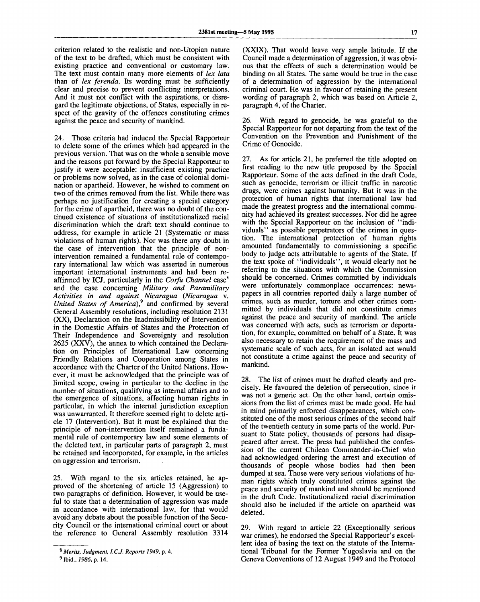criterion related to the realistic and non-Utopian nature of the text to be drafted, which must be consistent with existing practice and conventional or customary law. The text must contain many more elements of *lex lata* than of *lex ferenda.* Its wording must be sufficiently clear and precise to prevent conflicting interpretations. And it must not conflict with the aspirations, or disregard the legitimate objections, of States, especially in respect of the gravity of the offences constituting crimes against the peace and security of mankind.

24. Those criteria had induced the Special Rapporteur to delete some of the crimes which had appeared in the previous version. That was on the whole a sensible move and the reasons put forward by the Special Rapporteur to justify it were acceptable: insufficient existing practice or problems now solved, as in the case of colonial domination or apartheid. However, he wished to comment on two of the crimes removed from the list. While there was perhaps no justification for creating a special category for the crime of apartheid, there was no doubt of the continued existence of situations of institutionalized racial discrimination which the draft text should continue to address, for example in article 21 (Systematic or mass violations of human rights). Nor was there any doubt in the case of intervention that the principle of nonintervention remained a fundamental rule of contemporary international law which was asserted in numerous important international instruments and had been reaffirmed by ICJ, particularly in the *Corfu Channel* case<sup>8</sup> and the case concerning *Military and Paramilitary Activities in and against Nicaragua {Nicaragua* v. *United States of America)?* and confirmed by several General Assembly resolutions, including resolution 2131 (XX), Declaration on the Inadmissibility of Intervention in the Domestic Affairs of States and the Protection of Their Independence and Sovereignty and resolution 2625 (XXV), the annex to which contained the Declaration on Principles of International Law concerning Friendly Relations and Cooperation among States in accordance with the Charter of the United Nations. However, it must be acknowledged that the principle was of limited scope, owing in particular to the decline in the number of situations, qualifying as internal affairs and to the emergence of situations, affecting human rights in particular, in which the internal jurisdiction exception was unwarranted. It therefore seemed right to delete article 17 (Intervention). But it must be explained that the principle of non-intervention itself remained a fundamental rule of contemporary law and some elements of mental full of contemporary law and some elements of<br>the deleted text, in particular parts of paragraph 2, must the defected lext, in particular parts of paragraph  $\epsilon$ , must<br>be retained and incorporated, for example, in the articles be retained and incorporated, for example, in the articles on aggression and terrorism.

25. With regard to the six articles retained, he approved of the shortening of article 15 (Aggression) to two paragraphs of definition. However, it would be useful to state that a determination of aggression was made in accordance with international law, for that would avoid any debate about the possible function of the Security Council or the international criminal court or about the reference to General Assembly resolution 3314

(XXIX). That would leave very ample latitude. If the Council made a determination of aggression, it was obvious that the effects of such a determination would be binding on all States. The same would be true in the case of a determination of aggression by the international criminal court. He was in favour of retaining the present wording of paragraph 2, which was based on Article 2, paragraph 4, of the Charter.

26. With regard to genocide, he was grateful to the Special Rapporteur for not departing from the text of the Convention on the Prevention and Punishment of the Crime of Genocide.

27. As for article 21, he preferred the title adopted on first reading to the new title proposed by the Special Rapporteur. Some of the acts defined in the draft Code, such as genocide, terrorism or illicit traffic in narcotic drugs, were crimes against humanity. But it was in the protection of human rights that international law had made the greatest progress and the international community had achieved its greatest successes. Nor did he agree with the Special Rapporteur on the inclusion of "individuals" as possible perpetrators of the crimes in question. The international protection of human rights amounted fundamentally to commissioning a specific body to judge acts attributable to agents of the State. If the text spoke of "individuals", it would clearly not be referring to the situations with which the Commission should be concerned. Crimes committed by individuals were unfortunately commonplace occurrences: newspapers in all countries reported daily a large number of crimes, such as murder, torture and other crimes committed by individuals that did not constitute crimes against the peace and security of mankind. The article was concerned with acts, such as terrorism or deportation, for example, committed on behalf of a State. It was also necessary to retain the requirement of the mass and systematic scale of such acts, for an isolated act would not constitute a crime against the peace and security of mankind.

28. The list of crimes must be drafted clearly and precisely. He favoured the deletion of persecution, since it was not a generic act. On the other hand, certain omissions from the list of crimes must be made good. He had in mind primarily enforced disappearances, which constituted one of the most serious crimes of the second half of the twentieth century in some parts of the world. Pursuant to State policy, thousands of persons had disappeared after arrest. The press had published the confession of the current Chilean Commander-in-Chief who had acknowledged ordering the arrest and execution of thousands of people whose bodies had then been dumped at sea. Those were very serious violations of human rights which truly constituted crimes against the peace and security of mankind and should be mentioned in the draft Code. Institutionalized racial discrimination should also be included if the article on apartheid was deleted.

29. With regard to article 22 (Exceptionally serious war crimes), he endorsed the Special Rapporteur's excellent idea of basing the text on the statute of the International Tribunal for the Former Yugoslavia and on the Geneva Conventions of 12 August 1949 and the Protocol

<sup>8</sup>  *Merits, Judgment, I.C.J. Reports 1949,* p. 4.

<sup>9</sup> Ibid., *1986,* p. 14.